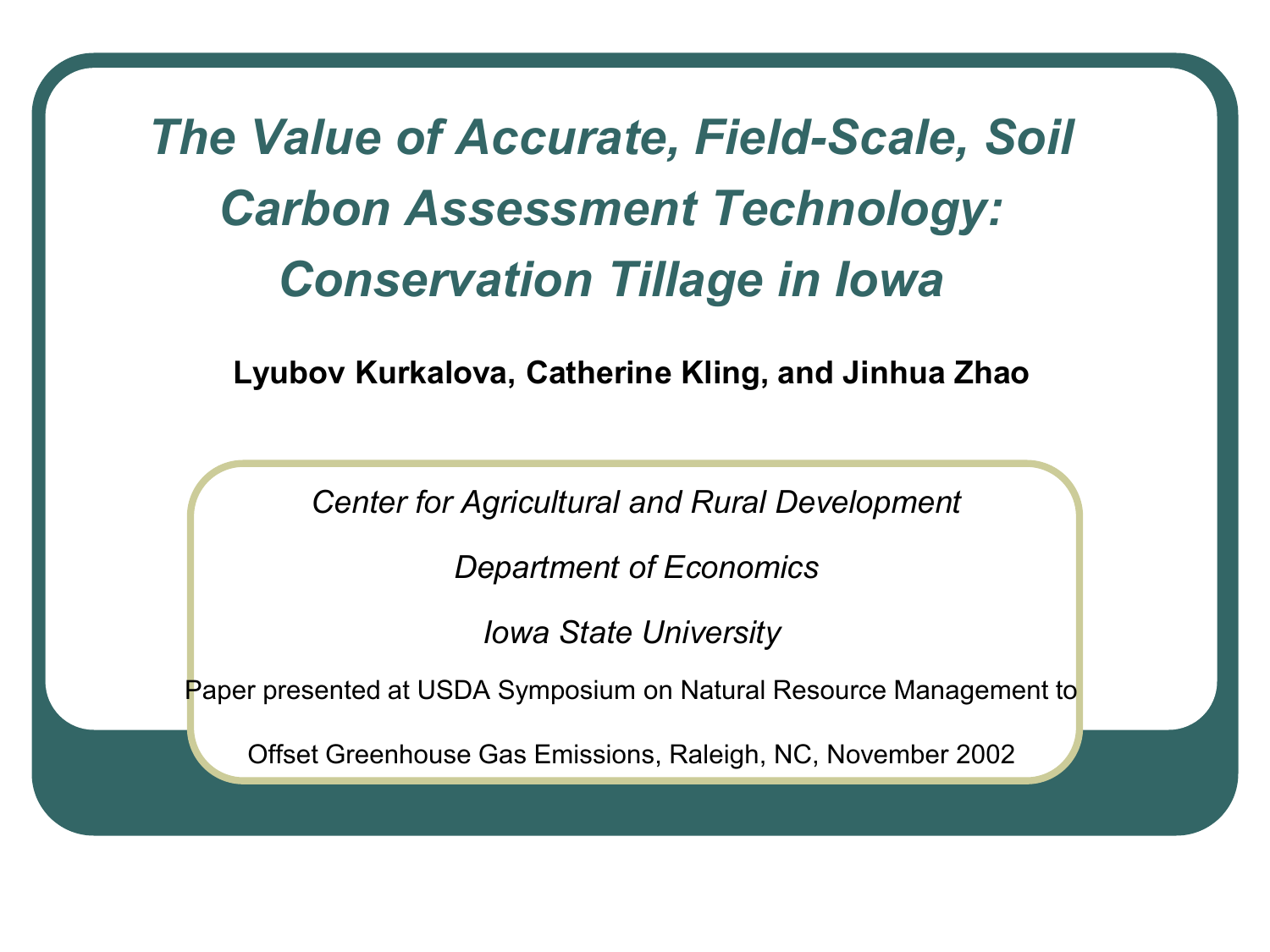#### *The Value of Accurate, Field-Scale, Soil Carbon Assessment Technology: Conservation Tillage in Iowa*

**Lyubov Kurkalova, Catherine Kling, and Jinhua Zhao** 

 *Center for Agricultural and Rural Development* 

 *Department of Economics* 

*Iowa State University* 

Paper presented at USDA Symposium on Natural Resource Management to

Offset Greenhouse Gas Emissions, Raleigh, NC, November 2002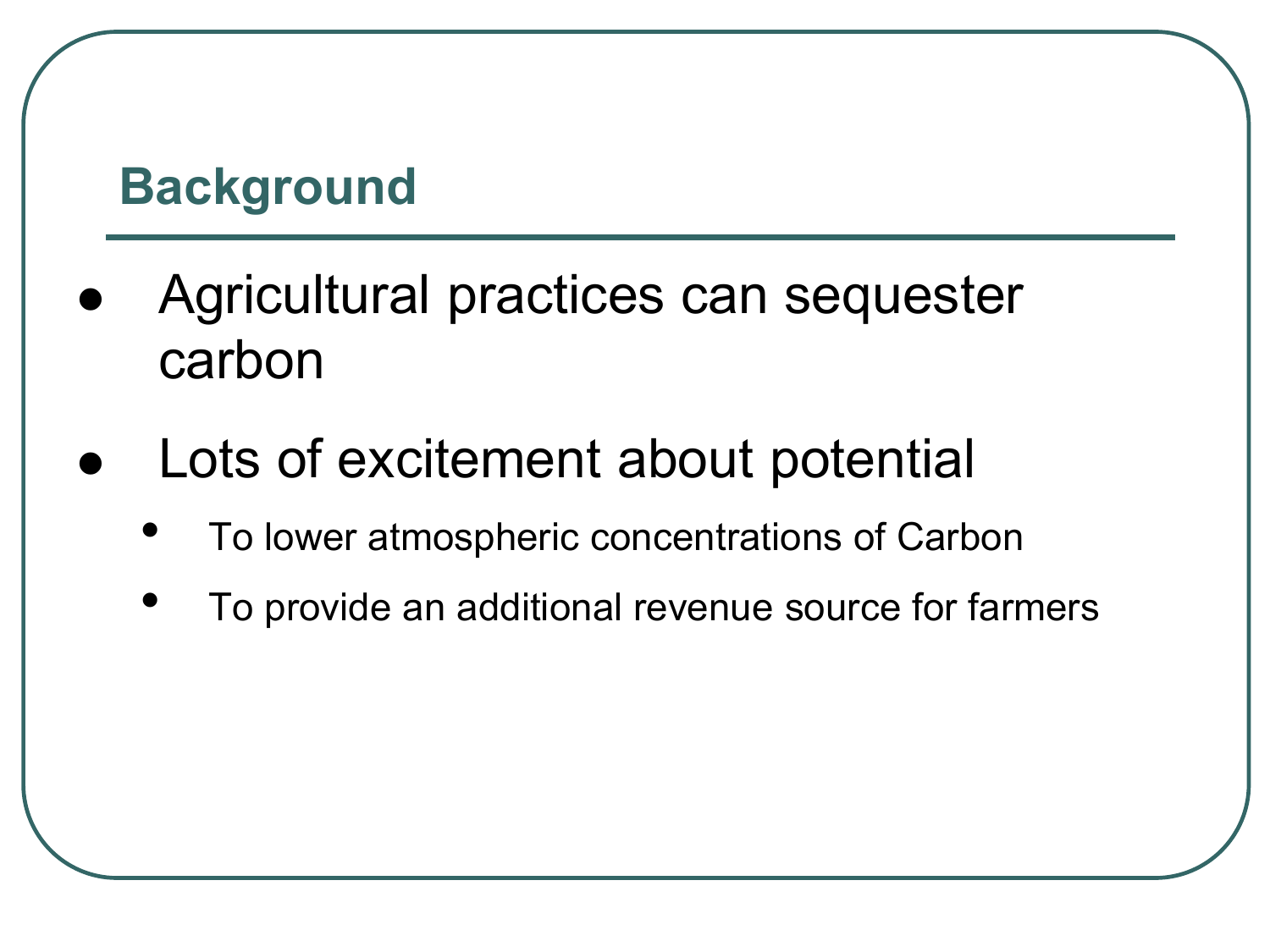#### **Background**

- Agricultural practices can sequester carbon
- Lots of excitement about potential
	- To lower atmospheric concentrations of Carbon
	- To provide an additional revenue source for farmers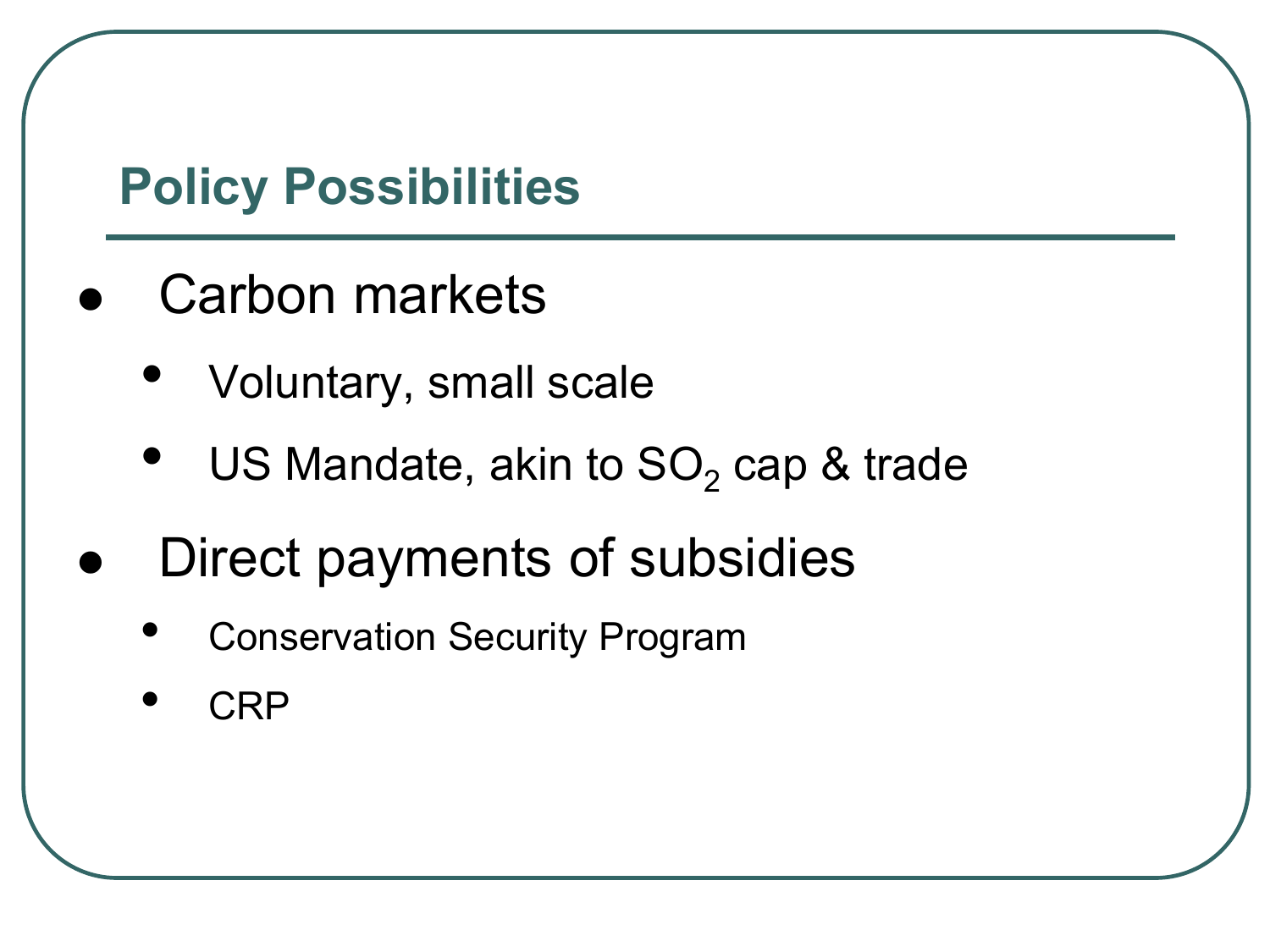#### **Policy Possibilities**

- Carbon markets
	- Voluntary, small scale
	- US Mandate, akin to  $SO<sub>2</sub>$  cap & trade
- Direct payments of subsidies
	- Conservation Security Program
	- CRP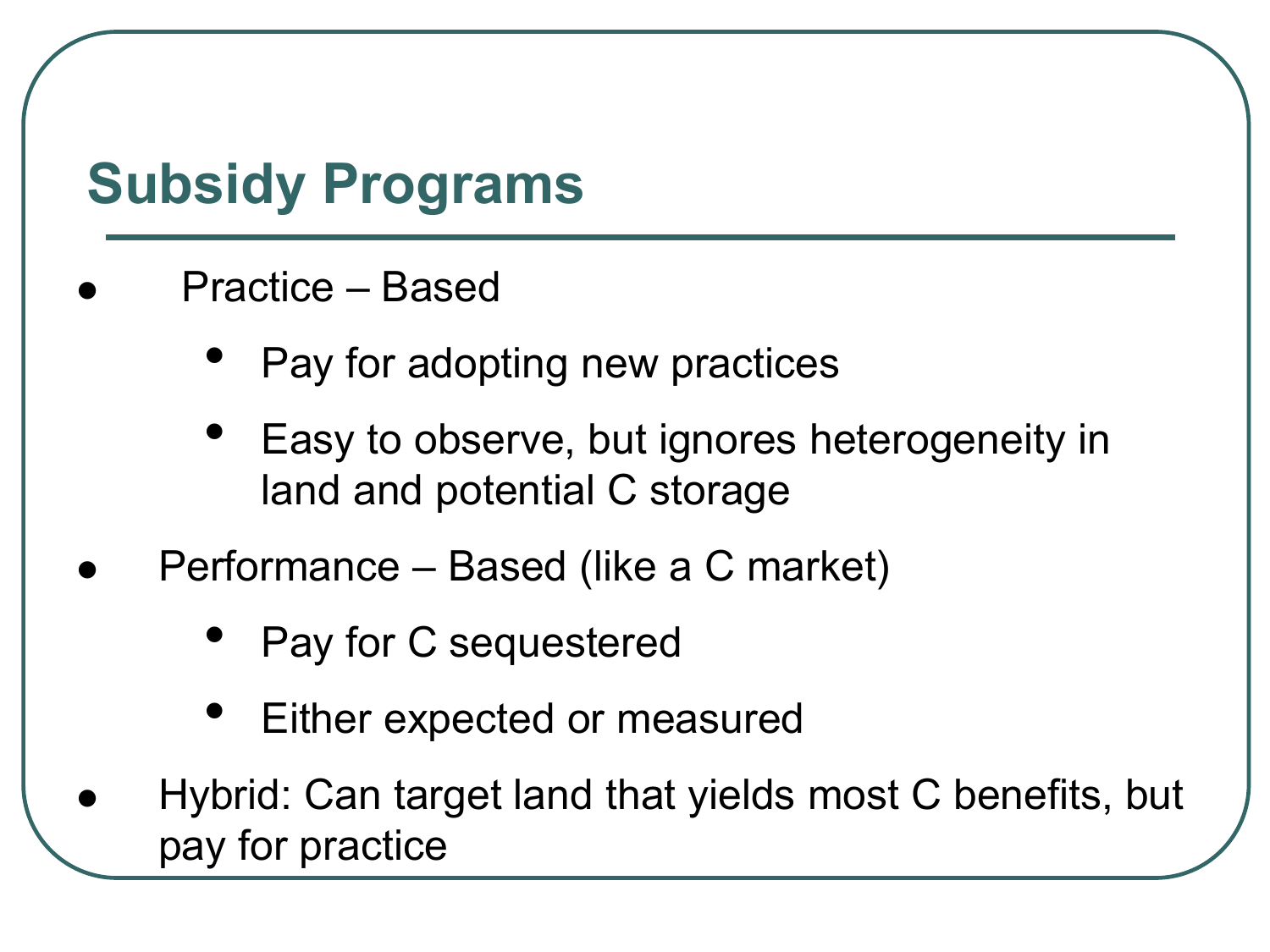# **Subsidy Programs**

- Practice Based
	- Pay for adopting new practices
	- Easy to observe, but ignores heterogeneity in land and potential C storage
- Performance Based (like a C market)
	- Pay for C sequestered
	- Either expected or measured
- Hybrid: Can target land that yields most C benefits, but pay for practice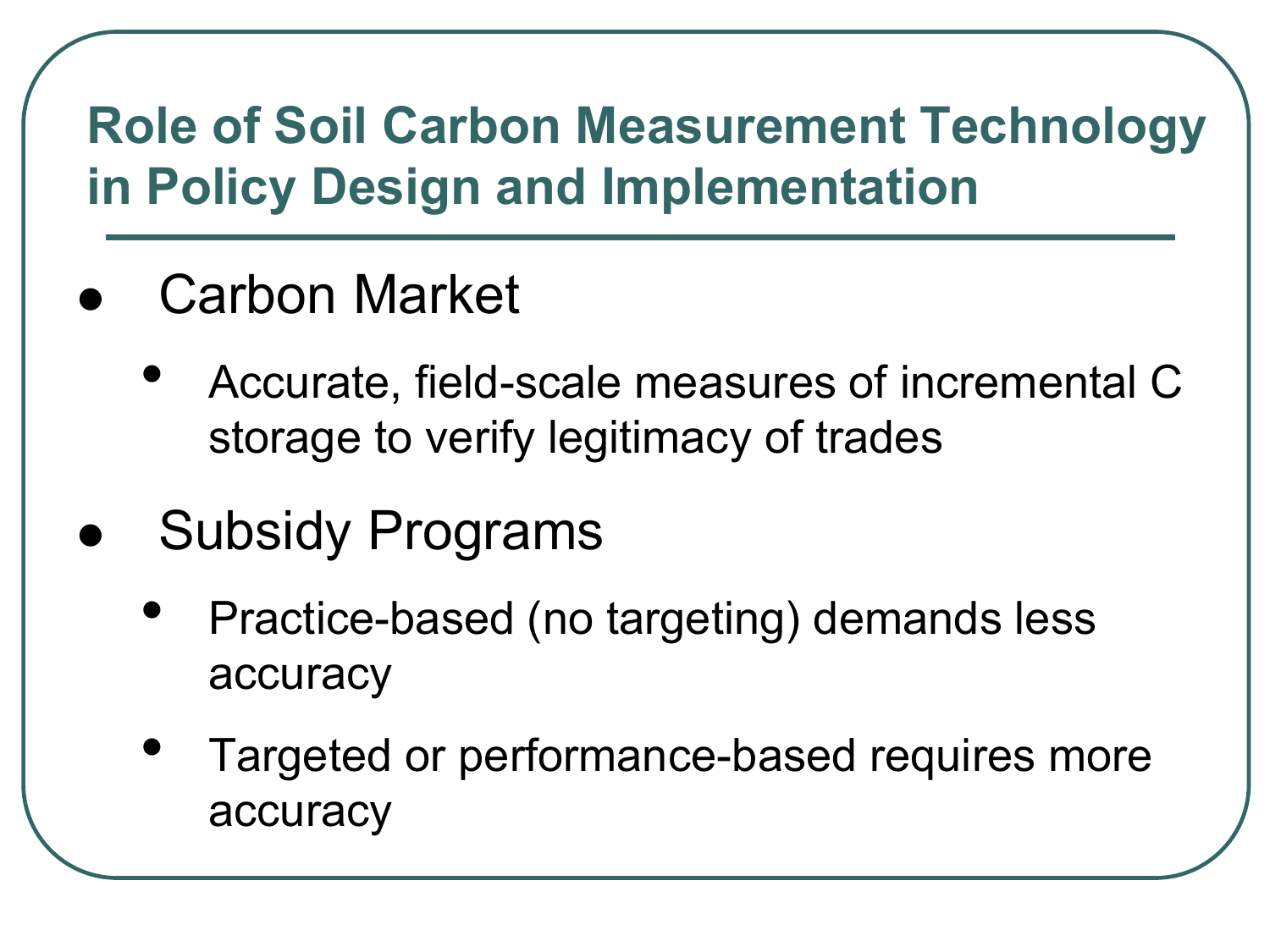#### **Role of Soil Carbon Measurement Technology in Policy Design and Implementation**

- Carbon Market
	- Accurate, field-scale measures of incremental C storage to verify legitimacy of trades
- Subsidy Programs
	- Practice-based (no targeting) demands less accuracy
	- Targeted or performance-based requires more accuracy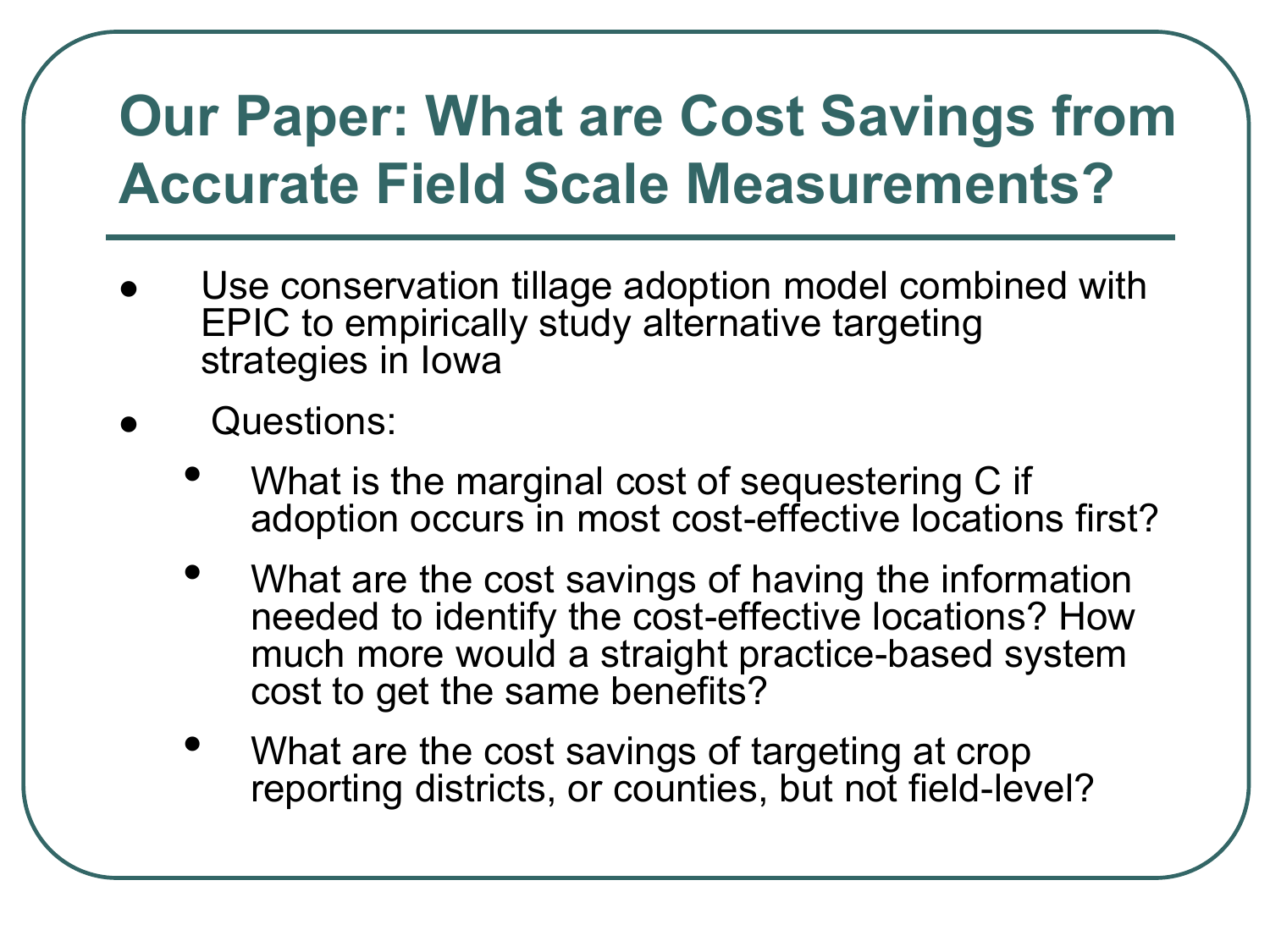# **Our Paper: What are Cost Savings from Accurate Field Scale Measurements?**

- Use conservation tillage adoption model combined with EPIC to empirically study alternative targeting strategies in Iowa
- Questions:
	- What is the marginal cost of sequestering C if adoption occurs in most cost-effective locations first?
	- What are the cost savings of having the information needed to identify the cost-effective locations? How much more would a straight practice-based system cost to get the same benefits?
	- What are the cost savings of targeting at crop reporting districts, or counties, but not field-level?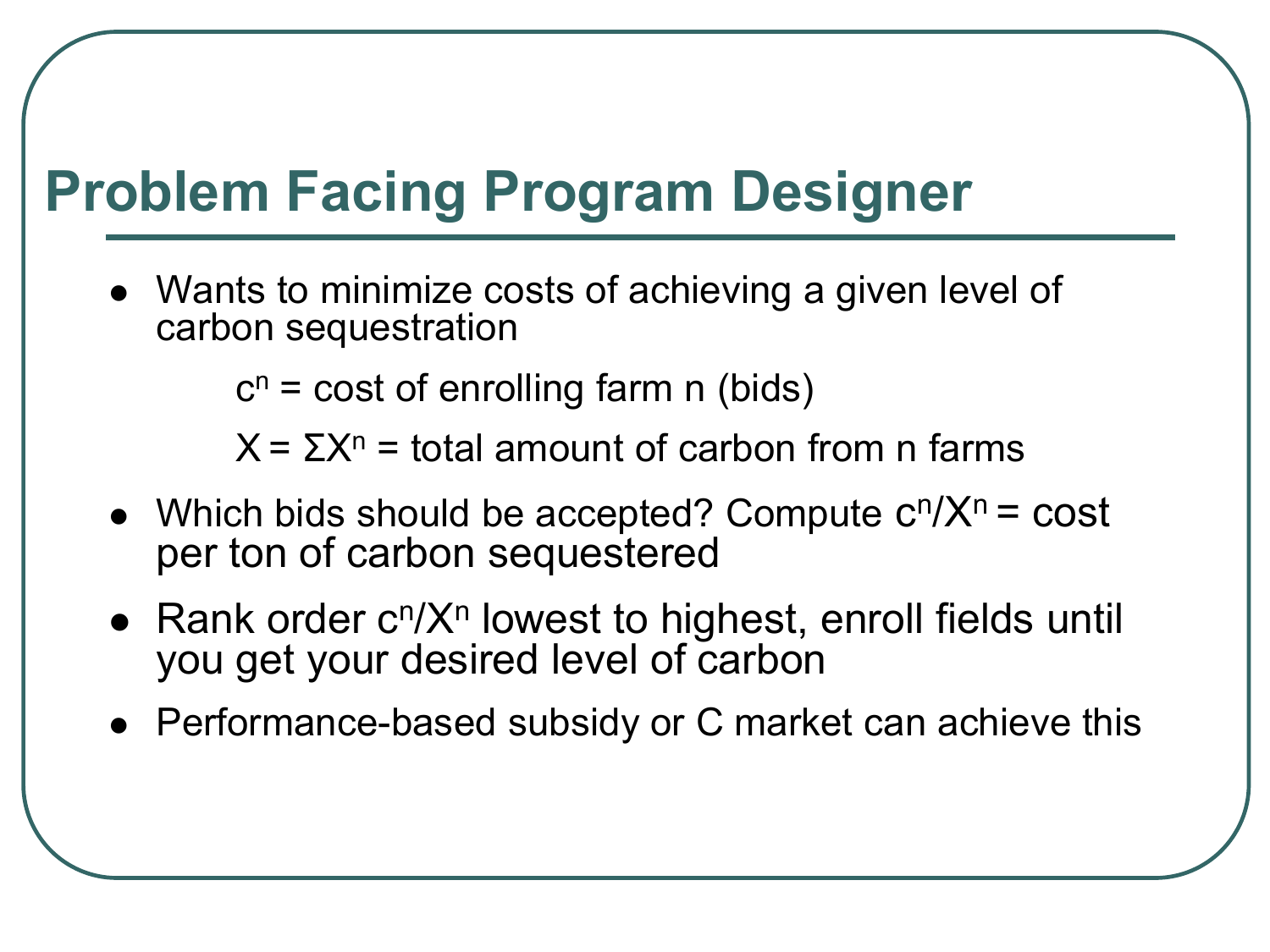# **Problem Facing Program Designer**

 Wants to minimize costs of achieving a given level of carbon sequestration

 $c^n$  = cost of enrolling farm n (bids)

 $X = \Sigma X^n =$  total amount of carbon from n farms

- Which bids should be accepted? Compute  $c^n/X^n = cost$ per ton of carbon sequestered
- Rank order c<sup>n</sup>/X<sup>n</sup> lowest to highest, enroll fields until you get your desired level of carbon
- Performance-based subsidy or C market can achieve this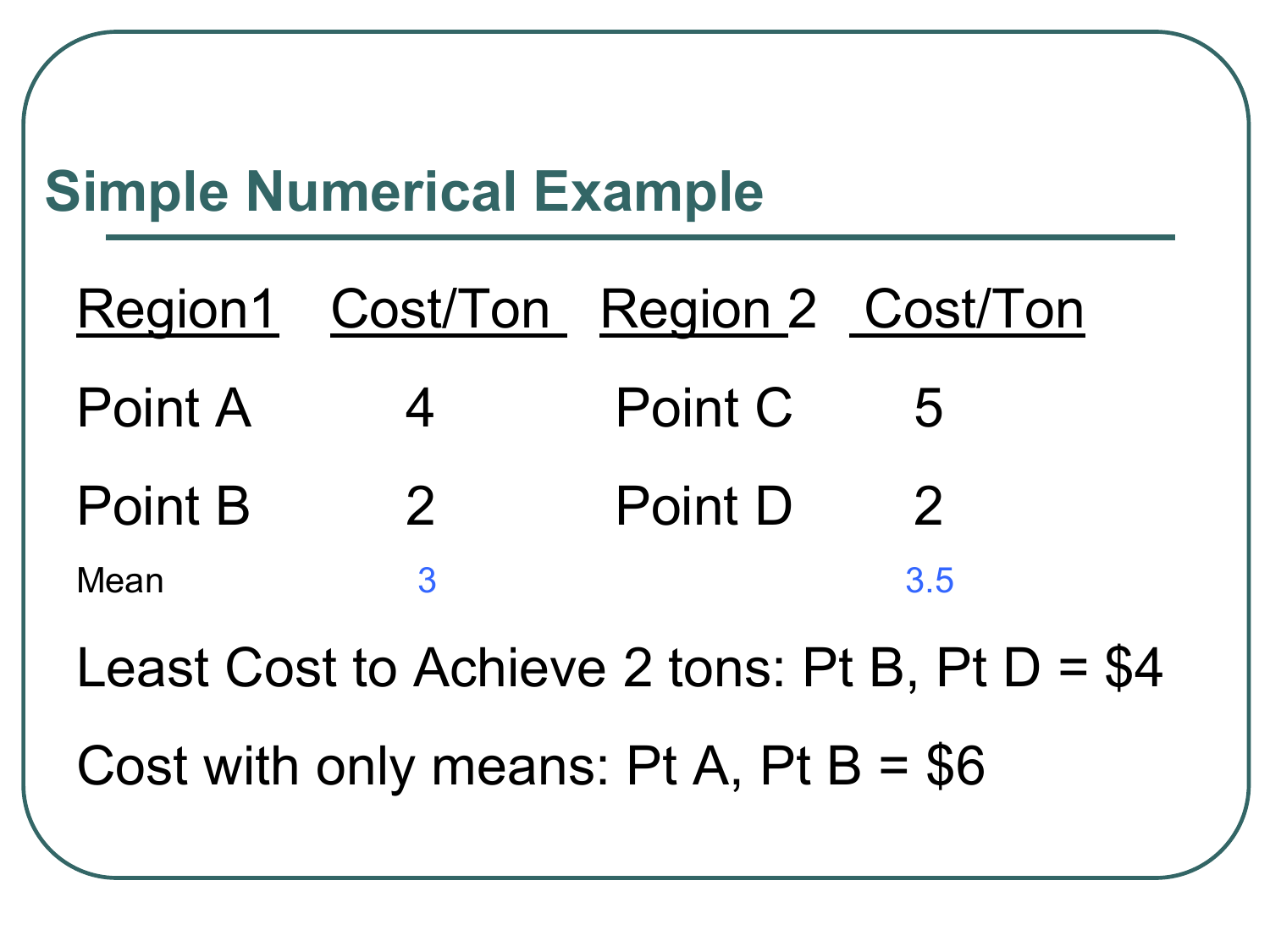# **Simple Numerical Example**

|         | Region1 Cost/Ton Region 2 Cost/Ton |         |                |
|---------|------------------------------------|---------|----------------|
| Point A | $\overline{4}$                     | Point C | $-5$           |
| Point B | $\overline{2}$                     | Point D | $\overline{2}$ |
| Mean    |                                    |         | 3.5            |

Least Cost to Achieve 2 tons: Pt B, Pt D = \$4

Cost with only means:  $Pt A$ ,  $Pt B = $6$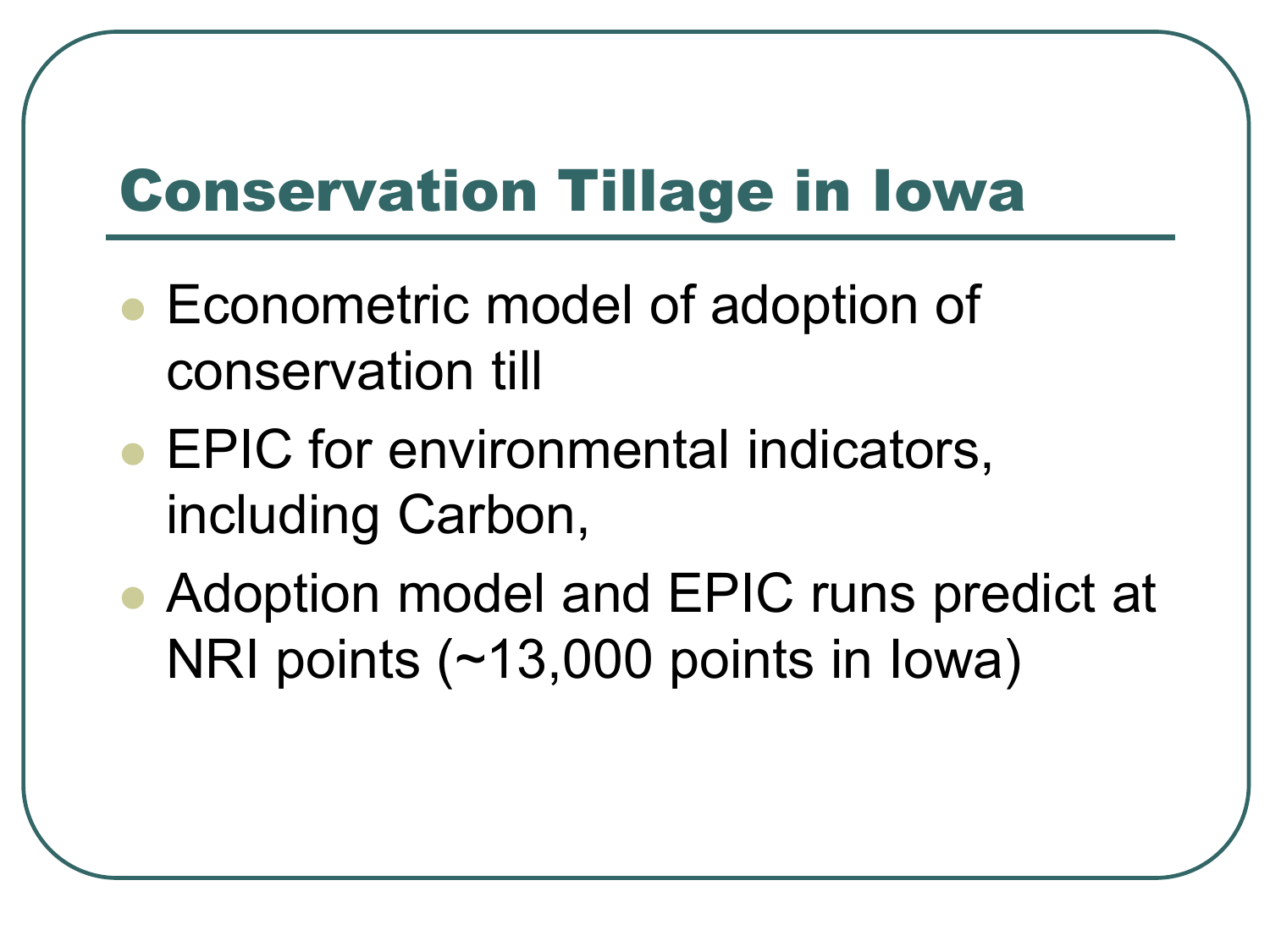### Conservation Tillage in Iowa

- Econometric model of adoption of conservation till
- EPIC for environmental indicators, including Carbon,
- Adoption model and EPIC runs predict at NRI points (~13,000 points in Iowa)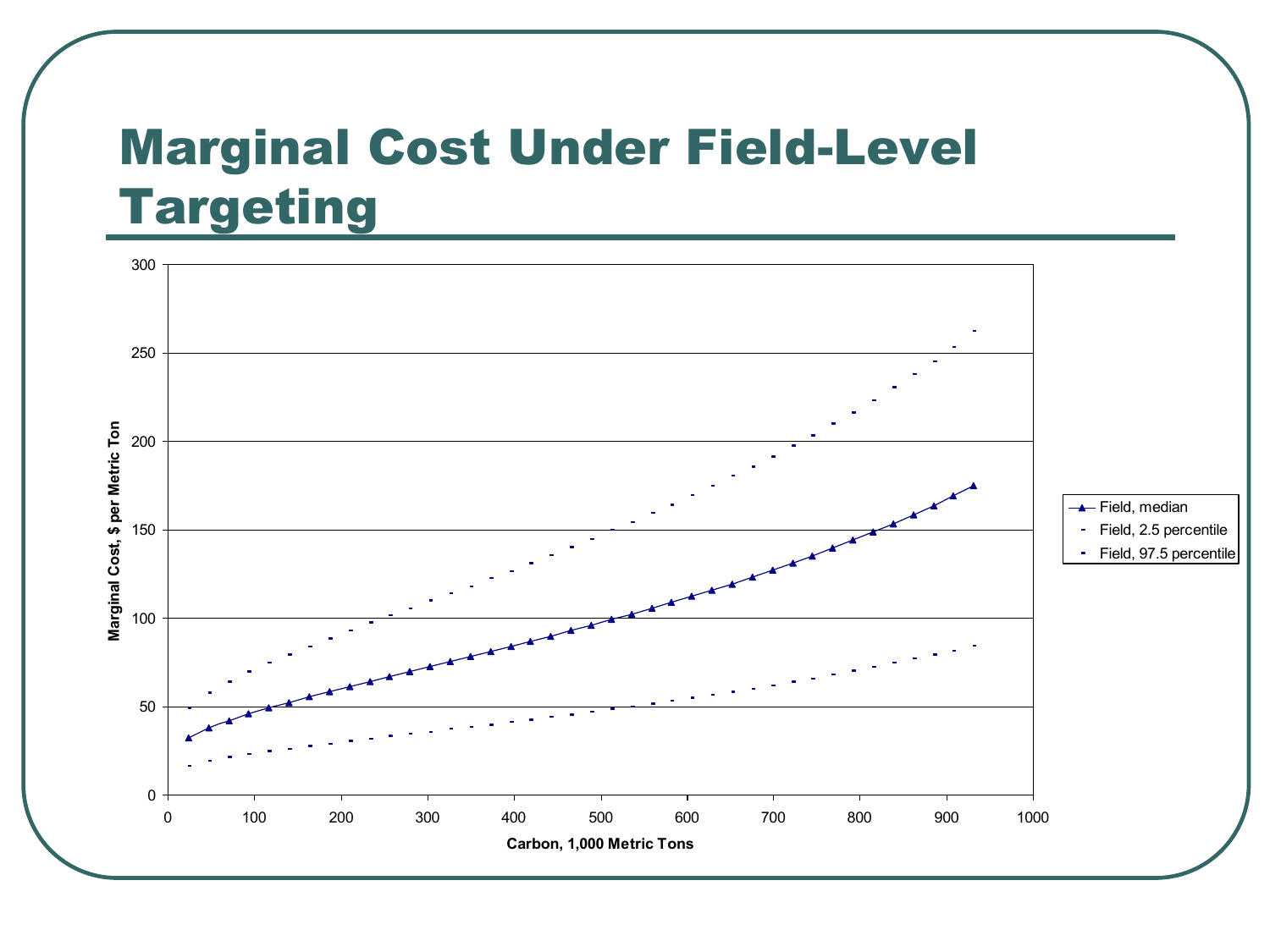#### Marginal Cost Under Field-Level Targeting

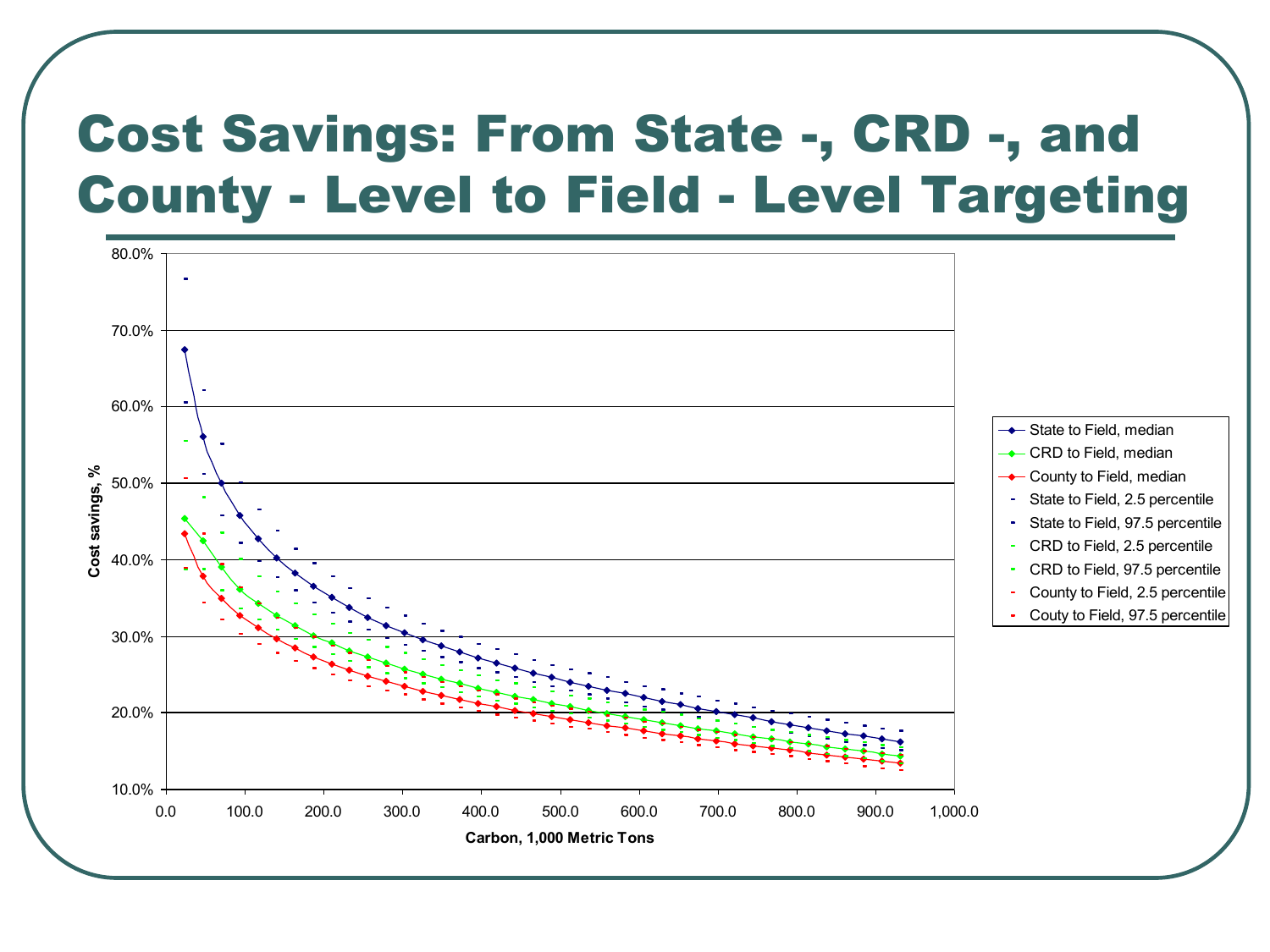#### Cost Savings: From State -, CRD -, and County - Level to Field - Level Targeting

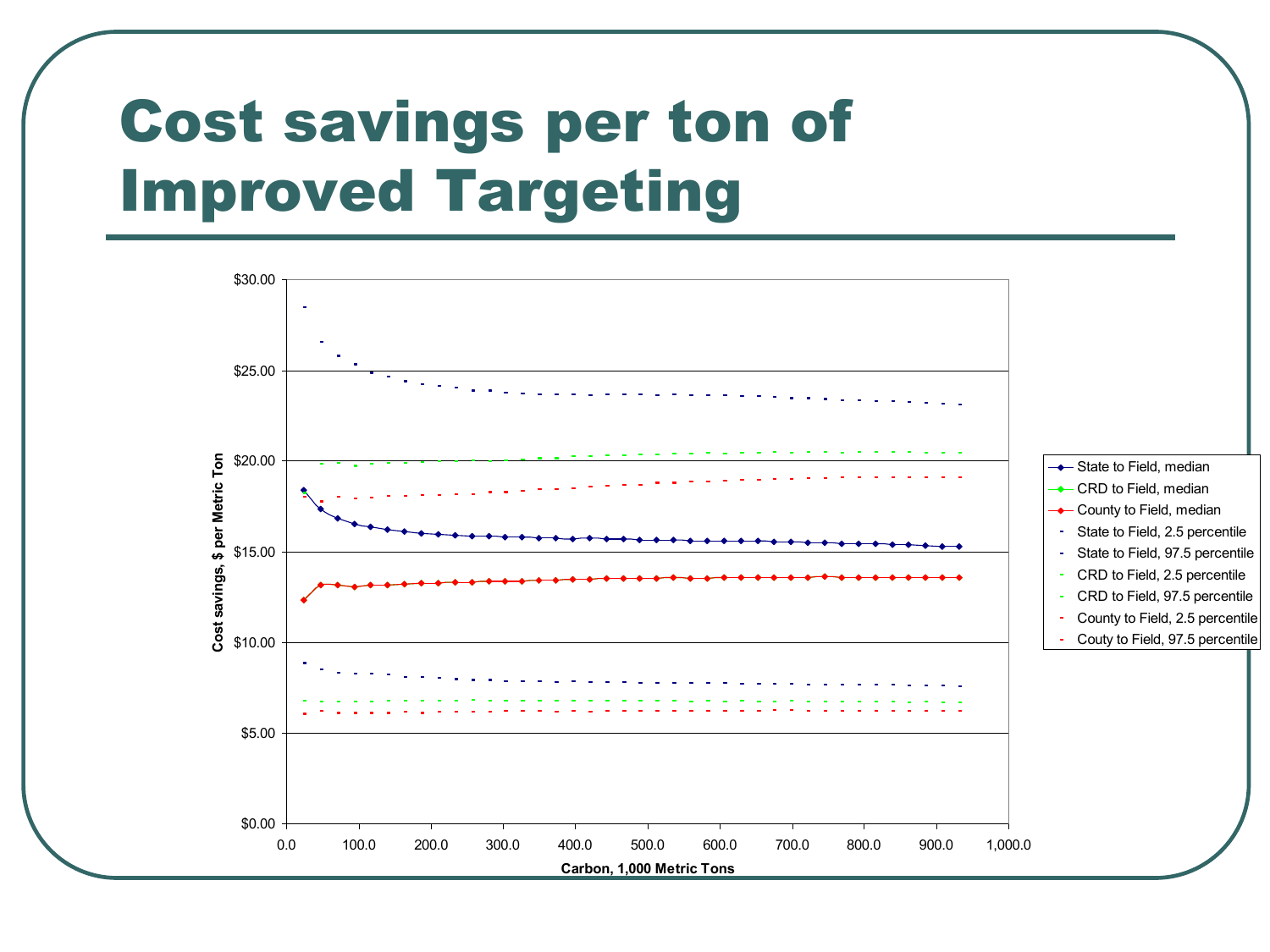# Cost savings per ton of Improved Targeting